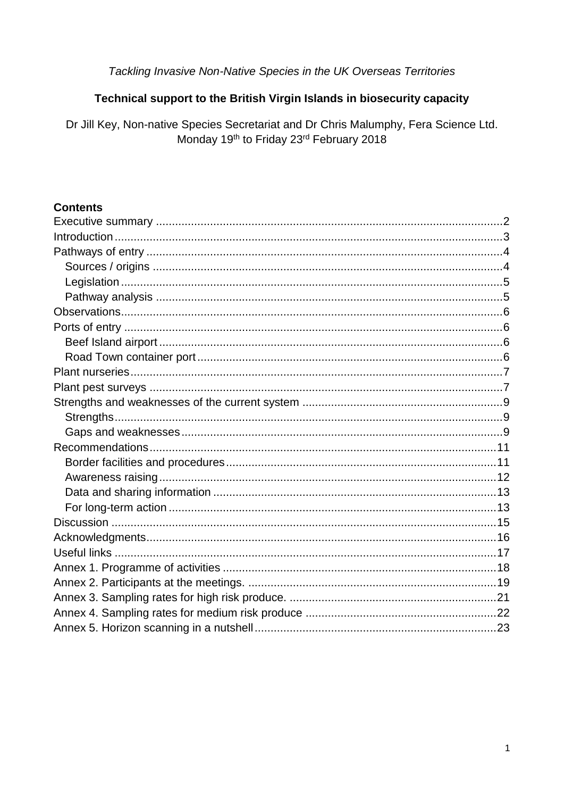# Tackling Invasive Non-Native Species in the UK Overseas Territories

# Technical support to the British Virgin Islands in biosecurity capacity

Dr Jill Key, Non-native Species Secretariat and Dr Chris Malumphy, Fera Science Ltd. Monday 19th to Friday 23rd February 2018

#### **Contents**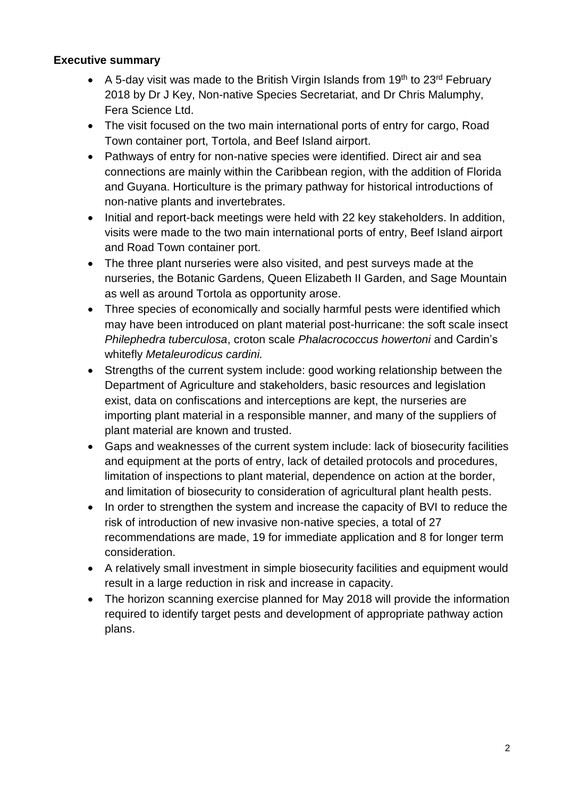#### <span id="page-1-0"></span>**Executive summary**

- A 5-day visit was made to the British Virgin Islands from 19<sup>th</sup> to 23<sup>rd</sup> February 2018 by Dr J Key, Non-native Species Secretariat, and Dr Chris Malumphy, Fera Science Ltd.
- The visit focused on the two main international ports of entry for cargo, Road Town container port, Tortola, and Beef Island airport.
- Pathways of entry for non-native species were identified. Direct air and sea connections are mainly within the Caribbean region, with the addition of Florida and Guyana. Horticulture is the primary pathway for historical introductions of non-native plants and invertebrates.
- Initial and report-back meetings were held with 22 key stakeholders. In addition, visits were made to the two main international ports of entry, Beef Island airport and Road Town container port.
- The three plant nurseries were also visited, and pest surveys made at the nurseries, the Botanic Gardens, Queen Elizabeth II Garden, and Sage Mountain as well as around Tortola as opportunity arose.
- Three species of economically and socially harmful pests were identified which may have been introduced on plant material post-hurricane: the soft scale insect *Philephedra tuberculosa*, croton scale *Phalacrococcus howertoni* and Cardin's whitefly *Metaleurodicus cardini.*
- Strengths of the current system include: good working relationship between the Department of Agriculture and stakeholders, basic resources and legislation exist, data on confiscations and interceptions are kept, the nurseries are importing plant material in a responsible manner, and many of the suppliers of plant material are known and trusted.
- Gaps and weaknesses of the current system include: lack of biosecurity facilities and equipment at the ports of entry, lack of detailed protocols and procedures, limitation of inspections to plant material, dependence on action at the border, and limitation of biosecurity to consideration of agricultural plant health pests.
- In order to strengthen the system and increase the capacity of BVI to reduce the risk of introduction of new invasive non-native species, a total of 27 recommendations are made, 19 for immediate application and 8 for longer term consideration.
- A relatively small investment in simple biosecurity facilities and equipment would result in a large reduction in risk and increase in capacity.
- The horizon scanning exercise planned for May 2018 will provide the information required to identify target pests and development of appropriate pathway action plans.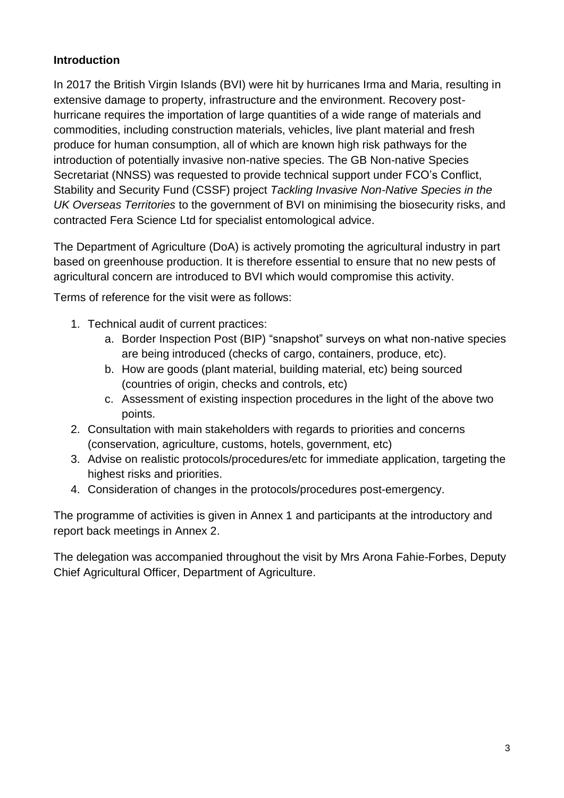# <span id="page-2-0"></span>**Introduction**

In 2017 the British Virgin Islands (BVI) were hit by hurricanes Irma and Maria, resulting in extensive damage to property, infrastructure and the environment. Recovery posthurricane requires the importation of large quantities of a wide range of materials and commodities, including construction materials, vehicles, live plant material and fresh produce for human consumption, all of which are known high risk pathways for the introduction of potentially invasive non-native species. The GB Non-native Species Secretariat (NNSS) was requested to provide technical support under FCO's Conflict, Stability and Security Fund (CSSF) project *Tackling Invasive Non-Native Species in the UK Overseas Territories* to the government of BVI on minimising the biosecurity risks, and contracted Fera Science Ltd for specialist entomological advice.

The Department of Agriculture (DoA) is actively promoting the agricultural industry in part based on greenhouse production. It is therefore essential to ensure that no new pests of agricultural concern are introduced to BVI which would compromise this activity.

Terms of reference for the visit were as follows:

- 1. Technical audit of current practices:
	- a. Border Inspection Post (BIP) "snapshot" surveys on what non-native species are being introduced (checks of cargo, containers, produce, etc).
	- b. How are goods (plant material, building material, etc) being sourced (countries of origin, checks and controls, etc)
	- c. Assessment of existing inspection procedures in the light of the above two points.
- 2. Consultation with main stakeholders with regards to priorities and concerns (conservation, agriculture, customs, hotels, government, etc)
- 3. Advise on realistic protocols/procedures/etc for immediate application, targeting the highest risks and priorities.
- 4. Consideration of changes in the protocols/procedures post-emergency.

The programme of activities is given in Annex 1 and participants at the introductory and report back meetings in Annex 2.

The delegation was accompanied throughout the visit by Mrs Arona Fahie-Forbes, Deputy Chief Agricultural Officer, Department of Agriculture.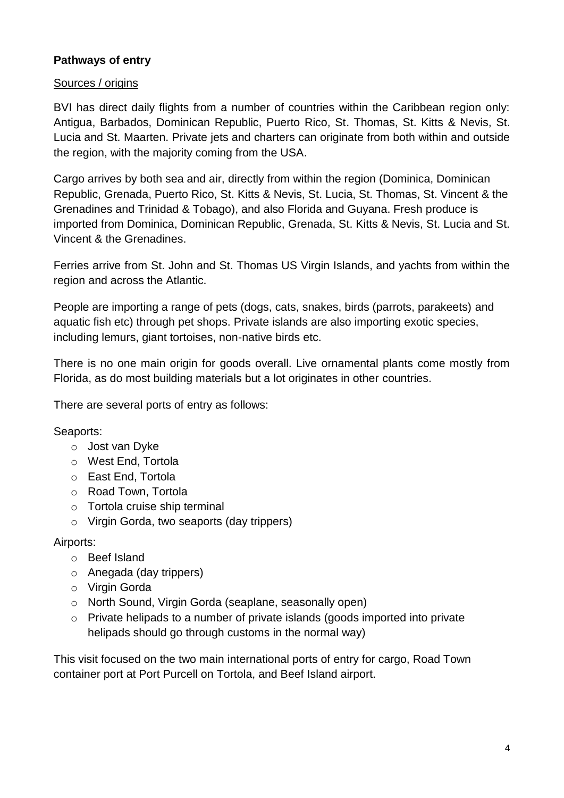# <span id="page-3-0"></span>**Pathways of entry**

#### <span id="page-3-1"></span>Sources / origins

BVI has direct daily flights from a number of countries within the Caribbean region only: Antigua, Barbados, Dominican Republic, Puerto Rico, St. Thomas, St. Kitts & Nevis, St. Lucia and St. Maarten. Private jets and charters can originate from both within and outside the region, with the majority coming from the USA.

Cargo arrives by both sea and air, directly from within the region (Dominica, Dominican Republic, Grenada, Puerto Rico, St. Kitts & Nevis, St. Lucia, St. Thomas, St. Vincent & the Grenadines and Trinidad & Tobago), and also Florida and Guyana. Fresh produce is imported from Dominica, Dominican Republic, Grenada, St. Kitts & Nevis, St. Lucia and St. Vincent & the Grenadines.

Ferries arrive from St. John and St. Thomas US Virgin Islands, and yachts from within the region and across the Atlantic.

People are importing a range of pets (dogs, cats, snakes, birds (parrots, parakeets) and aquatic fish etc) through pet shops. Private islands are also importing exotic species, including lemurs, giant tortoises, non-native birds etc.

There is no one main origin for goods overall. Live ornamental plants come mostly from Florida, as do most building materials but a lot originates in other countries.

There are several ports of entry as follows:

# Seaports:

- o Jost van Dyke
- o West End, Tortola
- o East End, Tortola
- o Road Town, Tortola
- o Tortola cruise ship terminal
- o Virgin Gorda, two seaports (day trippers)

#### Airports:

- o Beef Island
- o Anegada (day trippers)
- o Virgin Gorda
- o North Sound, Virgin Gorda (seaplane, seasonally open)
- o Private helipads to a number of private islands (goods imported into private helipads should go through customs in the normal way)

This visit focused on the two main international ports of entry for cargo, Road Town container port at Port Purcell on Tortola, and Beef Island airport.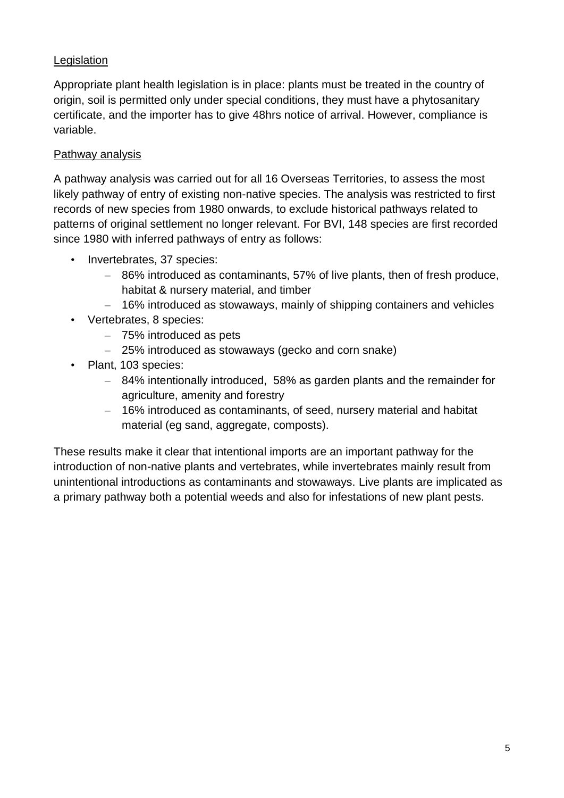# <span id="page-4-0"></span>Legislation

Appropriate plant health legislation is in place: plants must be treated in the country of origin, soil is permitted only under special conditions, they must have a phytosanitary certificate, and the importer has to give 48hrs notice of arrival. However, compliance is variable.

### <span id="page-4-1"></span>Pathway analysis

A pathway analysis was carried out for all 16 Overseas Territories, to assess the most likely pathway of entry of existing non-native species. The analysis was restricted to first records of new species from 1980 onwards, to exclude historical pathways related to patterns of original settlement no longer relevant. For BVI, 148 species are first recorded since 1980 with inferred pathways of entry as follows:

- Invertebrates, 37 species:
	- 86% introduced as contaminants, 57% of live plants, then of fresh produce, habitat & nursery material, and timber
	- 16% introduced as stowaways, mainly of shipping containers and vehicles
- Vertebrates, 8 species:
	- 75% introduced as pets
	- 25% introduced as stowaways (gecko and corn snake)
- Plant, 103 species:
	- 84% intentionally introduced, 58% as garden plants and the remainder for agriculture, amenity and forestry
	- 16% introduced as contaminants, of seed, nursery material and habitat material (eg sand, aggregate, composts).

These results make it clear that intentional imports are an important pathway for the introduction of non-native plants and vertebrates, while invertebrates mainly result from unintentional introductions as contaminants and stowaways. Live plants are implicated as a primary pathway both a potential weeds and also for infestations of new plant pests.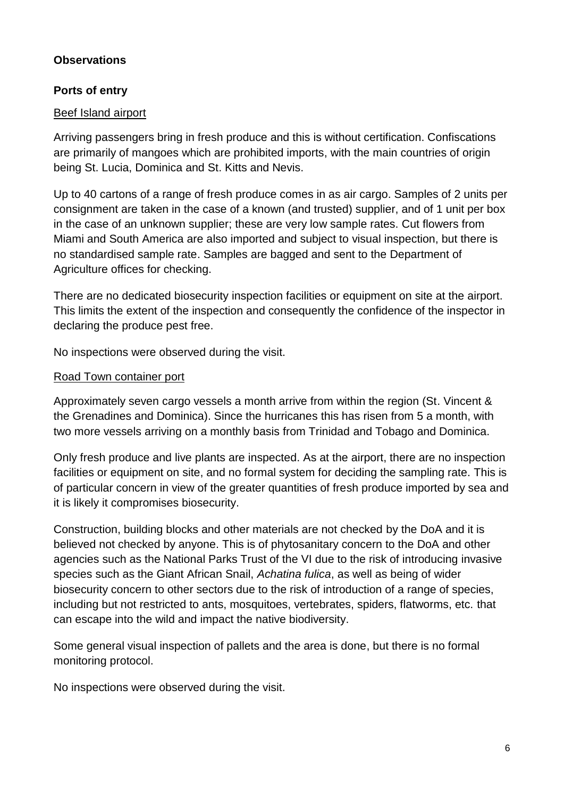### <span id="page-5-0"></span>**Observations**

## <span id="page-5-1"></span>**Ports of entry**

#### <span id="page-5-2"></span>Beef Island airport

Arriving passengers bring in fresh produce and this is without certification. Confiscations are primarily of mangoes which are prohibited imports, with the main countries of origin being St. Lucia, Dominica and St. Kitts and Nevis.

Up to 40 cartons of a range of fresh produce comes in as air cargo. Samples of 2 units per consignment are taken in the case of a known (and trusted) supplier, and of 1 unit per box in the case of an unknown supplier; these are very low sample rates. Cut flowers from Miami and South America are also imported and subject to visual inspection, but there is no standardised sample rate. Samples are bagged and sent to the Department of Agriculture offices for checking.

There are no dedicated biosecurity inspection facilities or equipment on site at the airport. This limits the extent of the inspection and consequently the confidence of the inspector in declaring the produce pest free.

No inspections were observed during the visit.

#### <span id="page-5-3"></span>Road Town container port

Approximately seven cargo vessels a month arrive from within the region (St. Vincent & the Grenadines and Dominica). Since the hurricanes this has risen from 5 a month, with two more vessels arriving on a monthly basis from Trinidad and Tobago and Dominica.

Only fresh produce and live plants are inspected. As at the airport, there are no inspection facilities or equipment on site, and no formal system for deciding the sampling rate. This is of particular concern in view of the greater quantities of fresh produce imported by sea and it is likely it compromises biosecurity.

Construction, building blocks and other materials are not checked by the DoA and it is believed not checked by anyone. This is of phytosanitary concern to the DoA and other agencies such as the National Parks Trust of the VI due to the risk of introducing invasive species such as the Giant African Snail, *Achatina fulica*, as well as being of wider biosecurity concern to other sectors due to the risk of introduction of a range of species, including but not restricted to ants, mosquitoes, vertebrates, spiders, flatworms, etc. that can escape into the wild and impact the native biodiversity.

Some general visual inspection of pallets and the area is done, but there is no formal monitoring protocol.

No inspections were observed during the visit.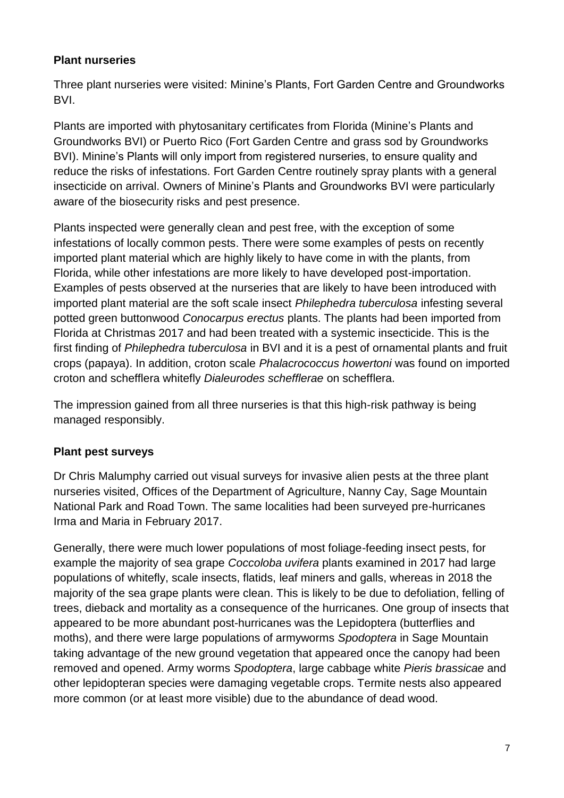## <span id="page-6-0"></span>**Plant nurseries**

Three plant nurseries were visited: Minine's Plants, Fort Garden Centre and Groundworks BVI.

Plants are imported with phytosanitary certificates from Florida (Minine's Plants and Groundworks BVI) or Puerto Rico (Fort Garden Centre and grass sod by Groundworks BVI). Minine's Plants will only import from registered nurseries, to ensure quality and reduce the risks of infestations. Fort Garden Centre routinely spray plants with a general insecticide on arrival. Owners of Minine's Plants and Groundworks BVI were particularly aware of the biosecurity risks and pest presence.

Plants inspected were generally clean and pest free, with the exception of some infestations of locally common pests. There were some examples of pests on recently imported plant material which are highly likely to have come in with the plants, from Florida, while other infestations are more likely to have developed post-importation. Examples of pests observed at the nurseries that are likely to have been introduced with imported plant material are the soft scale insect *Philephedra tuberculosa* infesting several potted green buttonwood *Conocarpus erectus* plants. The plants had been imported from Florida at Christmas 2017 and had been treated with a systemic insecticide. This is the first finding of *Philephedra tuberculosa* in BVI and it is a pest of ornamental plants and fruit crops (papaya). In addition, croton scale *Phalacrococcus howertoni* was found on imported croton and schefflera whitefly *Dialeurodes schefflerae* on schefflera.

The impression gained from all three nurseries is that this high-risk pathway is being managed responsibly.

# <span id="page-6-1"></span>**Plant pest surveys**

Dr Chris Malumphy carried out visual surveys for invasive alien pests at the three plant nurseries visited, Offices of the Department of Agriculture, Nanny Cay, Sage Mountain National Park and Road Town. The same localities had been surveyed pre-hurricanes Irma and Maria in February 2017.

Generally, there were much lower populations of most foliage-feeding insect pests, for example the majority of sea grape *Coccoloba uvifera* plants examined in 2017 had large populations of whitefly, scale insects, flatids, leaf miners and galls, whereas in 2018 the majority of the sea grape plants were clean. This is likely to be due to defoliation, felling of trees, dieback and mortality as a consequence of the hurricanes. One group of insects that appeared to be more abundant post-hurricanes was the Lepidoptera (butterflies and moths), and there were large populations of armyworms *Spodoptera* in Sage Mountain taking advantage of the new ground vegetation that appeared once the canopy had been removed and opened. Army worms *Spodoptera*, large cabbage white *Pieris brassicae* and other lepidopteran species were damaging vegetable crops. Termite nests also appeared more common (or at least more visible) due to the abundance of dead wood.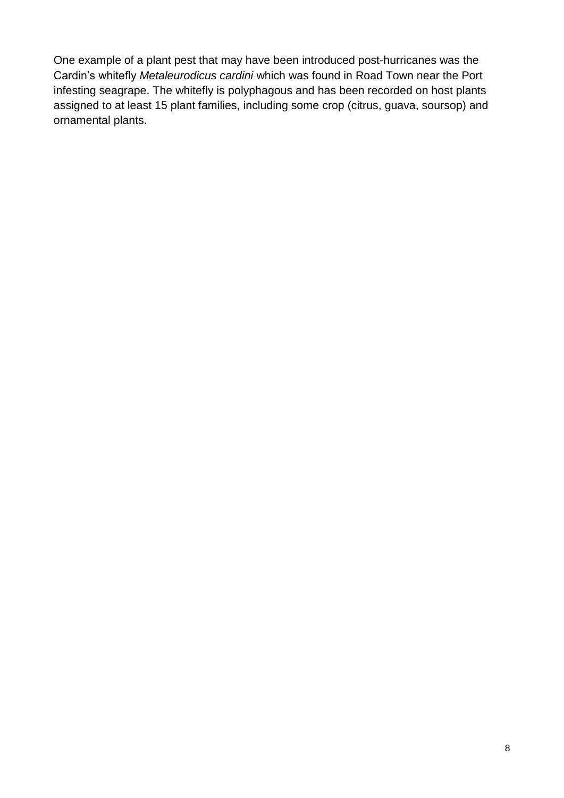One example of a plant pest that may have been introduced post-hurricanes was the Cardin's whitefly *Metaleurodicus cardini* which was found in Road Town near the Port infesting seagrape. The whitefly is polyphagous and has been recorded on host plants assigned to at least 15 plant families, including some crop (citrus, guava, soursop) and ornamental plants.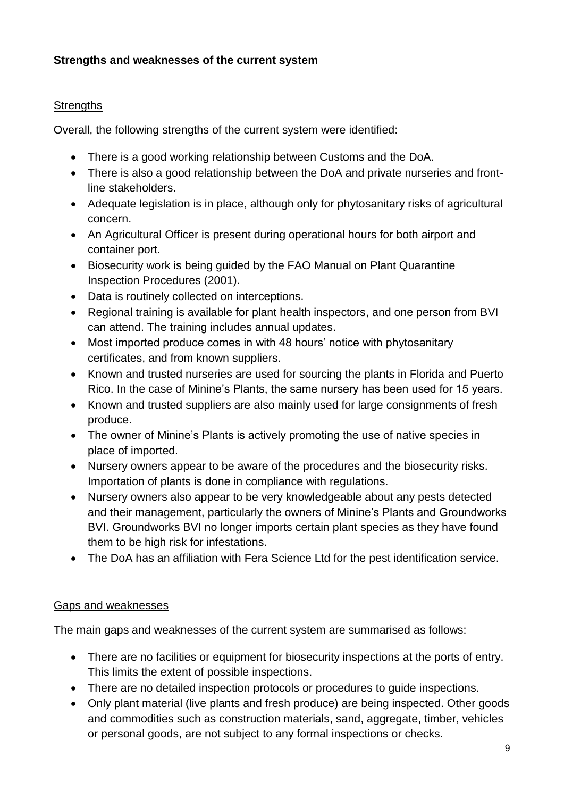## <span id="page-8-0"></span>**Strengths and weaknesses of the current system**

#### <span id="page-8-1"></span>**Strengths**

Overall, the following strengths of the current system were identified:

- There is a good working relationship between Customs and the DoA.
- There is also a good relationship between the DoA and private nurseries and frontline stakeholders.
- Adequate legislation is in place, although only for phytosanitary risks of agricultural concern.
- An Agricultural Officer is present during operational hours for both airport and container port.
- Biosecurity work is being guided by the FAO Manual on Plant Quarantine Inspection Procedures (2001).
- Data is routinely collected on interceptions.
- Regional training is available for plant health inspectors, and one person from BVI can attend. The training includes annual updates.
- Most imported produce comes in with 48 hours' notice with phytosanitary certificates, and from known suppliers.
- Known and trusted nurseries are used for sourcing the plants in Florida and Puerto Rico. In the case of Minine's Plants, the same nursery has been used for 15 years.
- Known and trusted suppliers are also mainly used for large consignments of fresh produce.
- The owner of Minine's Plants is actively promoting the use of native species in place of imported.
- Nursery owners appear to be aware of the procedures and the biosecurity risks. Importation of plants is done in compliance with regulations.
- Nursery owners also appear to be very knowledgeable about any pests detected and their management, particularly the owners of Minine's Plants and Groundworks BVI. Groundworks BVI no longer imports certain plant species as they have found them to be high risk for infestations.
- The DoA has an affiliation with Fera Science Ltd for the pest identification service.

#### <span id="page-8-2"></span>Gaps and weaknesses

The main gaps and weaknesses of the current system are summarised as follows:

- There are no facilities or equipment for biosecurity inspections at the ports of entry. This limits the extent of possible inspections.
- There are no detailed inspection protocols or procedures to guide inspections.
- Only plant material (live plants and fresh produce) are being inspected. Other goods and commodities such as construction materials, sand, aggregate, timber, vehicles or personal goods, are not subject to any formal inspections or checks.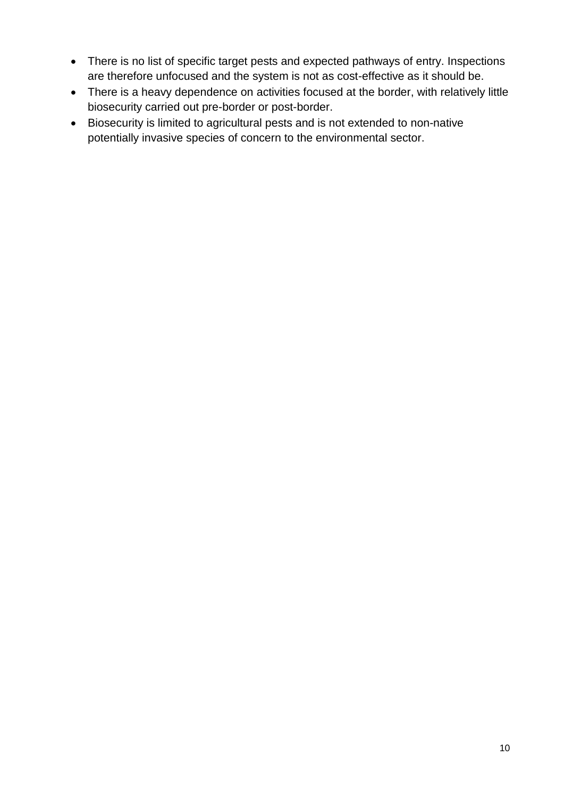- There is no list of specific target pests and expected pathways of entry. Inspections are therefore unfocused and the system is not as cost-effective as it should be.
- There is a heavy dependence on activities focused at the border, with relatively little biosecurity carried out pre-border or post-border.
- Biosecurity is limited to agricultural pests and is not extended to non-native potentially invasive species of concern to the environmental sector.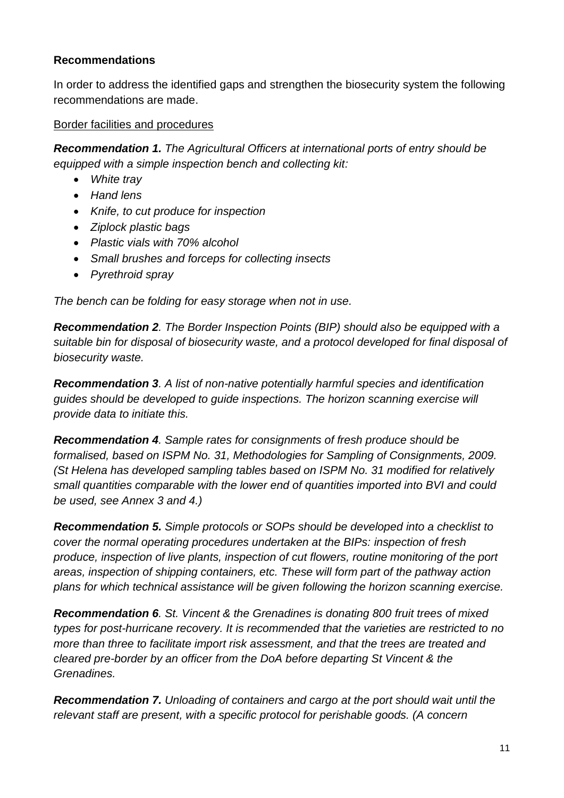## <span id="page-10-0"></span>**Recommendations**

In order to address the identified gaps and strengthen the biosecurity system the following recommendations are made.

#### <span id="page-10-1"></span>Border facilities and procedures

*Recommendation 1. The Agricultural Officers at international ports of entry should be equipped with a simple inspection bench and collecting kit:*

- *White tray*
- *Hand lens*
- *Knife, to cut produce for inspection*
- *Ziplock plastic bags*
- *Plastic vials with 70% alcohol*
- *Small brushes and forceps for collecting insects*
- *Pyrethroid spray*

*The bench can be folding for easy storage when not in use.*

*Recommendation 2. The Border Inspection Points (BIP) should also be equipped with a suitable bin for disposal of biosecurity waste, and a protocol developed for final disposal of biosecurity waste.*

*Recommendation 3. A list of non-native potentially harmful species and identification guides should be developed to guide inspections. The horizon scanning exercise will provide data to initiate this.*

*Recommendation 4. Sample rates for consignments of fresh produce should be formalised, based on ISPM No. 31, Methodologies for Sampling of Consignments, 2009. (St Helena has developed sampling tables based on ISPM No. 31 modified for relatively small quantities comparable with the lower end of quantities imported into BVI and could be used, see Annex 3 and 4.)*

*Recommendation 5. Simple protocols or SOPs should be developed into a checklist to cover the normal operating procedures undertaken at the BIPs: inspection of fresh produce, inspection of live plants, inspection of cut flowers, routine monitoring of the port areas, inspection of shipping containers, etc. These will form part of the pathway action plans for which technical assistance will be given following the horizon scanning exercise.*

*Recommendation 6. St. Vincent & the Grenadines is donating 800 fruit trees of mixed types for post-hurricane recovery. It is recommended that the varieties are restricted to no more than three to facilitate import risk assessment, and that the trees are treated and cleared pre-border by an officer from the DoA before departing St Vincent & the Grenadines.* 

*Recommendation 7. Unloading of containers and cargo at the port should wait until the relevant staff are present, with a specific protocol for perishable goods. (A concern*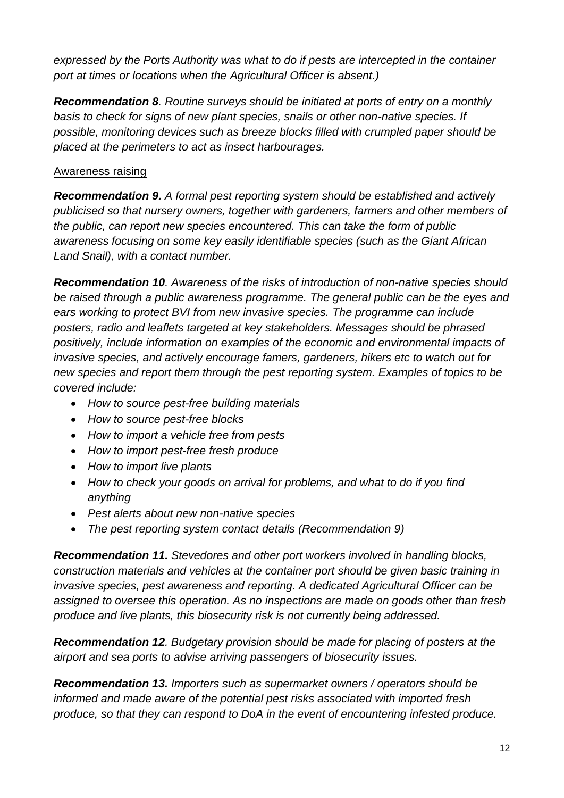*expressed by the Ports Authority was what to do if pests are intercepted in the container port at times or locations when the Agricultural Officer is absent.)*

*Recommendation 8. Routine surveys should be initiated at ports of entry on a monthly basis to check for signs of new plant species, snails or other non-native species. If possible, monitoring devices such as breeze blocks filled with crumpled paper should be placed at the perimeters to act as insect harbourages.* 

## <span id="page-11-0"></span>Awareness raising

*Recommendation 9. A formal pest reporting system should be established and actively publicised so that nursery owners, together with gardeners, farmers and other members of the public, can report new species encountered. This can take the form of public awareness focusing on some key easily identifiable species (such as the Giant African Land Snail), with a contact number.* 

*Recommendation 10. Awareness of the risks of introduction of non-native species should be raised through a public awareness programme. The general public can be the eyes and ears working to protect BVI from new invasive species. The programme can include posters, radio and leaflets targeted at key stakeholders. Messages should be phrased positively, include information on examples of the economic and environmental impacts of invasive species, and actively encourage famers, gardeners, hikers etc to watch out for new species and report them through the pest reporting system. Examples of topics to be covered include:*

- *How to source pest-free building materials*
- *How to source pest-free blocks*
- *How to import a vehicle free from pests*
- *How to import pest-free fresh produce*
- *How to import live plants*
- *How to check your goods on arrival for problems, and what to do if you find anything*
- *Pest alerts about new non-native species*
- *The pest reporting system contact details (Recommendation 9)*

*Recommendation 11. Stevedores and other port workers involved in handling blocks, construction materials and vehicles at the container port should be given basic training in invasive species, pest awareness and reporting. A dedicated Agricultural Officer can be assigned to oversee this operation. As no inspections are made on goods other than fresh produce and live plants, this biosecurity risk is not currently being addressed.* 

*Recommendation 12. Budgetary provision should be made for placing of posters at the airport and sea ports to advise arriving passengers of biosecurity issues.*

*Recommendation 13. Importers such as supermarket owners / operators should be informed and made aware of the potential pest risks associated with imported fresh produce, so that they can respond to DoA in the event of encountering infested produce.*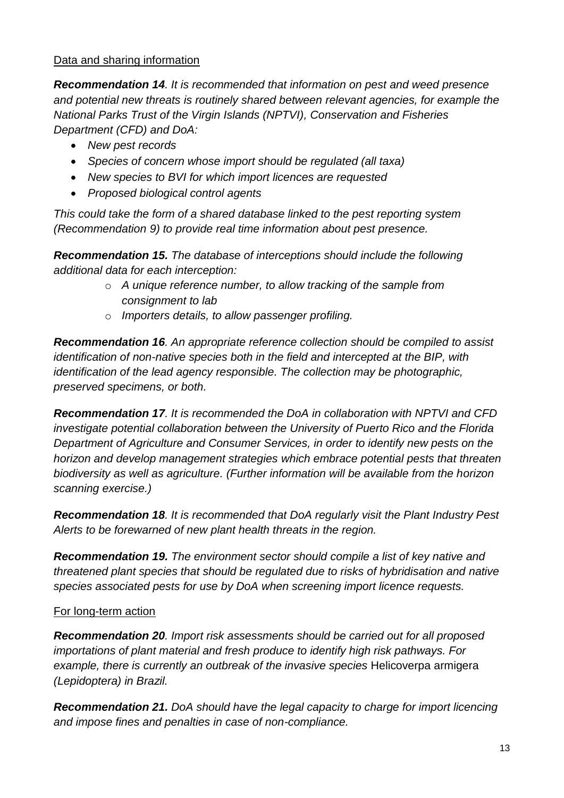#### <span id="page-12-0"></span>Data and sharing information

*Recommendation 14. It is recommended that information on pest and weed presence and potential new threats is routinely shared between relevant agencies, for example the National Parks Trust of the Virgin Islands (NPTVI), Conservation and Fisheries Department (CFD) and DoA:*

- *New pest records*
- *Species of concern whose import should be regulated (all taxa)*
- *New species to BVI for which import licences are requested*
- *Proposed biological control agents*

*This could take the form of a shared database linked to the pest reporting system (Recommendation 9) to provide real time information about pest presence.* 

*Recommendation 15. The database of interceptions should include the following additional data for each interception:*

- o *A unique reference number, to allow tracking of the sample from consignment to lab*
- o *Importers details, to allow passenger profiling.*

*Recommendation 16. An appropriate reference collection should be compiled to assist identification of non-native species both in the field and intercepted at the BIP, with identification of the lead agency responsible. The collection may be photographic, preserved specimens, or both.*

*Recommendation 17. It is recommended the DoA in collaboration with NPTVI and CFD investigate potential collaboration between the University of Puerto Rico and the Florida Department of Agriculture and Consumer Services, in order to identify new pests on the horizon and develop management strategies which embrace potential pests that threaten biodiversity as well as agriculture. (Further information will be available from the horizon scanning exercise.)*

*Recommendation 18. It is recommended that DoA regularly visit the Plant Industry Pest Alerts to be forewarned of new plant health threats in the region.*

*Recommendation 19. The environment sector should compile a list of key native and threatened plant species that should be regulated due to risks of hybridisation and native species associated pests for use by DoA when screening import licence requests.*

#### <span id="page-12-1"></span>For long-term action

*Recommendation 20. Import risk assessments should be carried out for all proposed importations of plant material and fresh produce to identify high risk pathways. For example, there is currently an outbreak of the invasive species* Helicoverpa armigera *(Lepidoptera) in Brazil.* 

*Recommendation 21. DoA should have the legal capacity to charge for import licencing and impose fines and penalties in case of non-compliance.*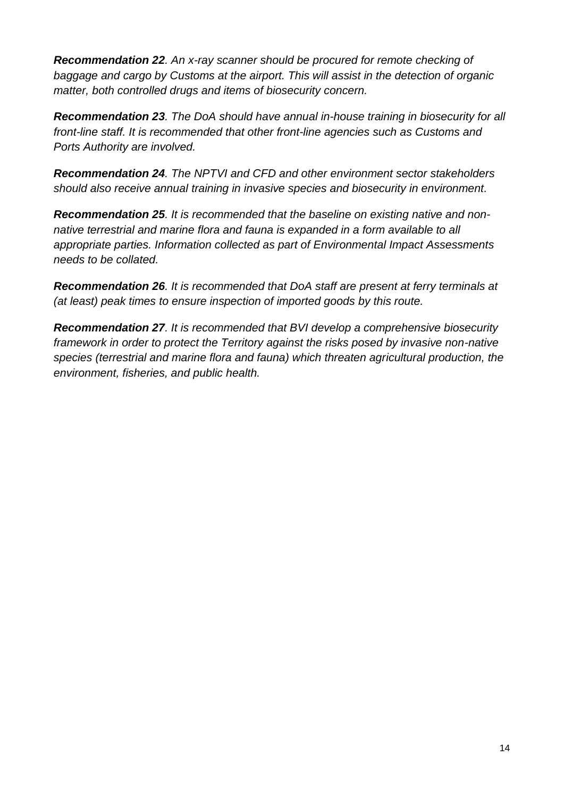*Recommendation 22. An x-ray scanner should be procured for remote checking of baggage and cargo by Customs at the airport. This will assist in the detection of organic matter, both controlled drugs and items of biosecurity concern.* 

*Recommendation 23. The DoA should have annual in-house training in biosecurity for all front-line staff. It is recommended that other front-line agencies such as Customs and Ports Authority are involved.* 

*Recommendation 24. The NPTVI and CFD and other environment sector stakeholders should also receive annual training in invasive species and biosecurity in environment.*

*Recommendation 25. It is recommended that the baseline on existing native and nonnative terrestrial and marine flora and fauna is expanded in a form available to all appropriate parties. Information collected as part of Environmental Impact Assessments needs to be collated.* 

*Recommendation 26. It is recommended that DoA staff are present at ferry terminals at (at least) peak times to ensure inspection of imported goods by this route.* 

<span id="page-13-0"></span>*Recommendation 27. It is recommended that BVI develop a comprehensive biosecurity framework in order to protect the Territory against the risks posed by invasive non-native species (terrestrial and marine flora and fauna) which threaten agricultural production, the environment, fisheries, and public health.*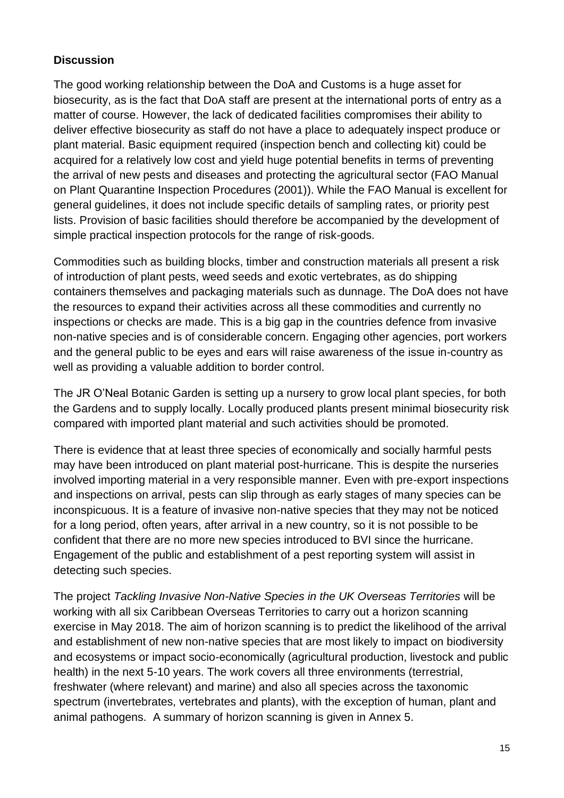# **Discussion**

The good working relationship between the DoA and Customs is a huge asset for biosecurity, as is the fact that DoA staff are present at the international ports of entry as a matter of course. However, the lack of dedicated facilities compromises their ability to deliver effective biosecurity as staff do not have a place to adequately inspect produce or plant material. Basic equipment required (inspection bench and collecting kit) could be acquired for a relatively low cost and yield huge potential benefits in terms of preventing the arrival of new pests and diseases and protecting the agricultural sector (FAO Manual on Plant Quarantine Inspection Procedures (2001)). While the FAO Manual is excellent for general guidelines, it does not include specific details of sampling rates, or priority pest lists. Provision of basic facilities should therefore be accompanied by the development of simple practical inspection protocols for the range of risk-goods.

Commodities such as building blocks, timber and construction materials all present a risk of introduction of plant pests, weed seeds and exotic vertebrates, as do shipping containers themselves and packaging materials such as dunnage. The DoA does not have the resources to expand their activities across all these commodities and currently no inspections or checks are made. This is a big gap in the countries defence from invasive non-native species and is of considerable concern. Engaging other agencies, port workers and the general public to be eyes and ears will raise awareness of the issue in-country as well as providing a valuable addition to border control.

The JR O'Neal Botanic Garden is setting up a nursery to grow local plant species, for both the Gardens and to supply locally. Locally produced plants present minimal biosecurity risk compared with imported plant material and such activities should be promoted.

There is evidence that at least three species of economically and socially harmful pests may have been introduced on plant material post-hurricane. This is despite the nurseries involved importing material in a very responsible manner. Even with pre-export inspections and inspections on arrival, pests can slip through as early stages of many species can be inconspicuous. It is a feature of invasive non-native species that they may not be noticed for a long period, often years, after arrival in a new country, so it is not possible to be confident that there are no more new species introduced to BVI since the hurricane. Engagement of the public and establishment of a pest reporting system will assist in detecting such species.

The project *Tackling Invasive Non-Native Species in the UK Overseas Territories* will be working with all six Caribbean Overseas Territories to carry out a horizon scanning exercise in May 2018. The aim of horizon scanning is to predict the likelihood of the arrival and establishment of new non-native species that are most likely to impact on biodiversity and ecosystems or impact socio-economically (agricultural production, livestock and public health) in the next 5-10 years. The work covers all three environments (terrestrial, freshwater (where relevant) and marine) and also all species across the taxonomic spectrum (invertebrates, vertebrates and plants), with the exception of human, plant and animal pathogens. A summary of horizon scanning is given in Annex 5.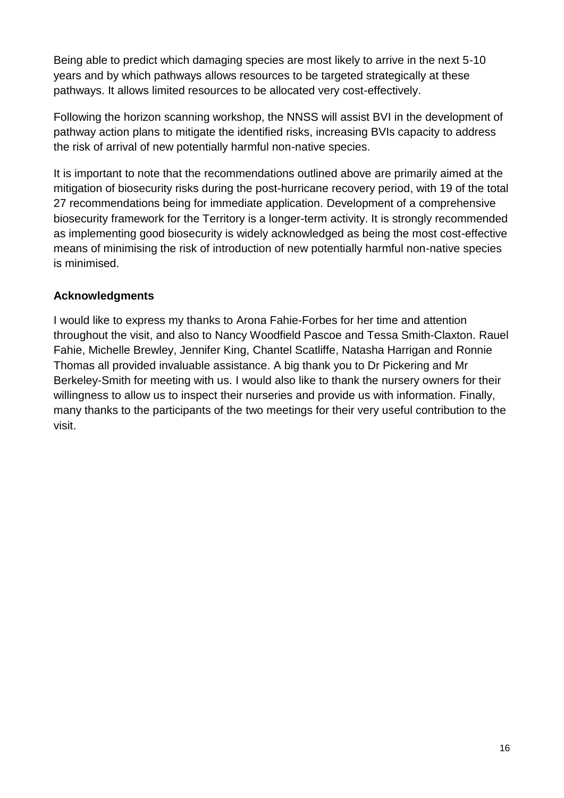Being able to predict which damaging species are most likely to arrive in the next 5-10 years and by which pathways allows resources to be targeted strategically at these pathways. It allows limited resources to be allocated very cost-effectively.

Following the horizon scanning workshop, the NNSS will assist BVI in the development of pathway action plans to mitigate the identified risks, increasing BVIs capacity to address the risk of arrival of new potentially harmful non-native species.

It is important to note that the recommendations outlined above are primarily aimed at the mitigation of biosecurity risks during the post-hurricane recovery period, with 19 of the total 27 recommendations being for immediate application. Development of a comprehensive biosecurity framework for the Territory is a longer-term activity. It is strongly recommended as implementing good biosecurity is widely acknowledged as being the most cost-effective means of minimising the risk of introduction of new potentially harmful non-native species is minimised.

## <span id="page-15-0"></span>**Acknowledgments**

<span id="page-15-1"></span>I would like to express my thanks to Arona Fahie-Forbes for her time and attention throughout the visit, and also to Nancy Woodfield Pascoe and Tessa Smith-Claxton. Rauel Fahie, Michelle Brewley, Jennifer King, Chantel Scatliffe, Natasha Harrigan and Ronnie Thomas all provided invaluable assistance. A big thank you to Dr Pickering and Mr Berkeley-Smith for meeting with us. I would also like to thank the nursery owners for their willingness to allow us to inspect their nurseries and provide us with information. Finally, many thanks to the participants of the two meetings for their very useful contribution to the visit.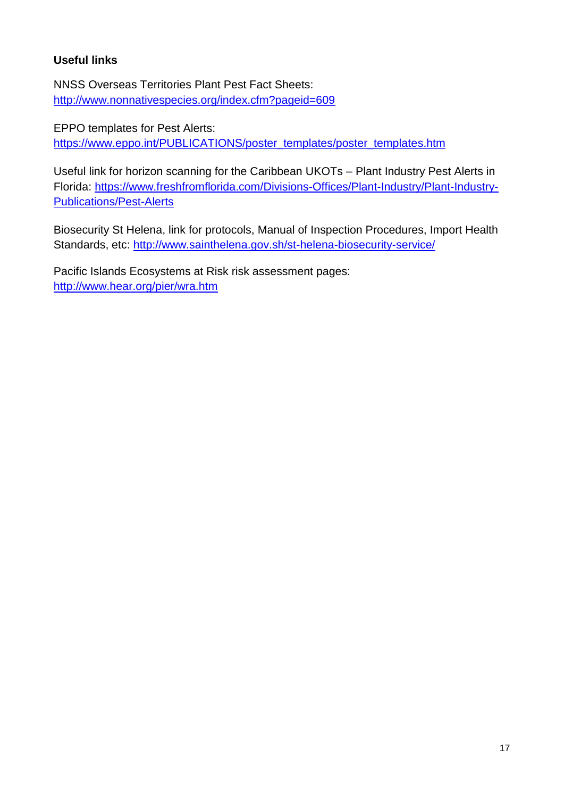# **Useful links**

NNSS Overseas Territories Plant Pest Fact Sheets: <http://www.nonnativespecies.org/index.cfm?pageid=609>

EPPO templates for Pest Alerts: [https://www.eppo.int/PUBLICATIONS/poster\\_templates/poster\\_templates.htm](https://www.google.com/url?q=https%3A%2F%2Fwww.eppo.int%2FPUBLICATIONS%2Fposter_templates%2Fposter_templates.htm&sa=D&sntz=1&usg=AFQjCNEwQ8_rx8YiE64f0h7h2wRCQzaNnA)

Useful link for horizon scanning for the Caribbean UKOTs – Plant Industry Pest Alerts in Florida: [https://www.freshfromflorida.com/Divisions-Offices/Plant-Industry/Plant-Industry-](https://www.freshfromflorida.com/Divisions-Offices/Plant-Industry/Plant-Industry-Publications/Pest-Alerts)[Publications/Pest-Alerts](https://www.freshfromflorida.com/Divisions-Offices/Plant-Industry/Plant-Industry-Publications/Pest-Alerts)

Biosecurity St Helena, link for protocols, Manual of Inspection Procedures, Import Health Standards, etc:<http://www.sainthelena.gov.sh/st-helena-biosecurity-service/>

Pacific Islands Ecosystems at Risk risk assessment pages: <http://www.hear.org/pier/wra.htm>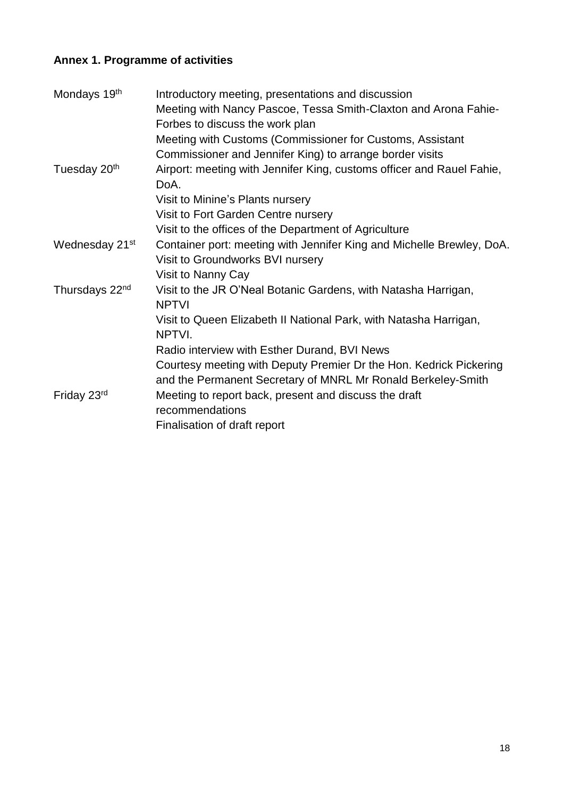# <span id="page-17-0"></span>**Annex 1. Programme of activities**

| Mondays 19th               | Introductory meeting, presentations and discussion<br>Meeting with Nancy Pascoe, Tessa Smith-Claxton and Arona Fahie-<br>Forbes to discuss the work plan<br>Meeting with Customs (Commissioner for Customs, Assistant |
|----------------------------|-----------------------------------------------------------------------------------------------------------------------------------------------------------------------------------------------------------------------|
| Tuesday 20 <sup>th</sup>   | Commissioner and Jennifer King) to arrange border visits<br>Airport: meeting with Jennifer King, customs officer and Rauel Fahie,<br>DoA.<br>Visit to Minine's Plants nursery                                         |
|                            | Visit to Fort Garden Centre nursery<br>Visit to the offices of the Department of Agriculture                                                                                                                          |
| Wednesday 21 <sup>st</sup> | Container port: meeting with Jennifer King and Michelle Brewley, DoA.<br>Visit to Groundworks BVI nursery<br>Visit to Nanny Cay                                                                                       |
| Thursdays 22 <sup>nd</sup> | Visit to the JR O'Neal Botanic Gardens, with Natasha Harrigan,<br><b>NPTVI</b>                                                                                                                                        |
|                            | Visit to Queen Elizabeth II National Park, with Natasha Harrigan,<br>NPTVI.                                                                                                                                           |
|                            | Radio interview with Esther Durand, BVI News<br>Courtesy meeting with Deputy Premier Dr the Hon. Kedrick Pickering<br>and the Permanent Secretary of MNRL Mr Ronald Berkeley-Smith                                    |
| Friday 23rd                | Meeting to report back, present and discuss the draft<br>recommendations<br>Finalisation of draft report                                                                                                              |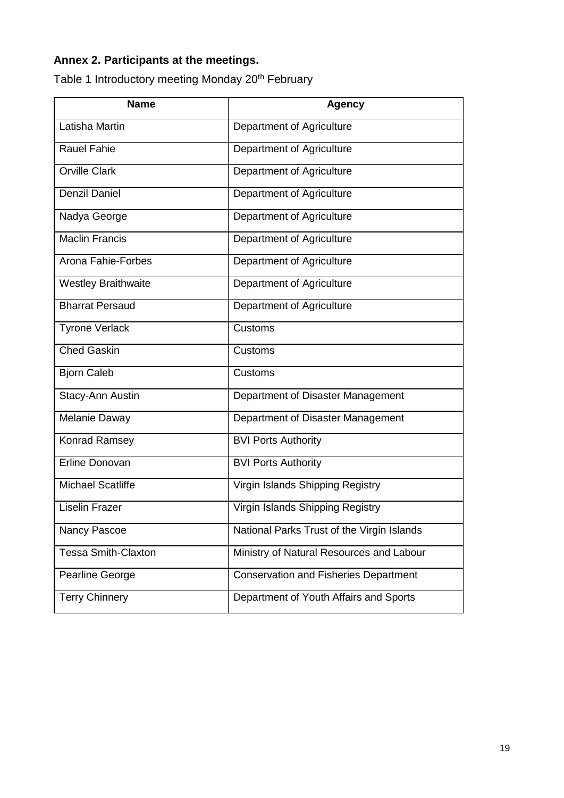# <span id="page-18-0"></span>**Annex 2. Participants at the meetings.**

Table 1 Introductory meeting Monday 20<sup>th</sup> February

| <b>Name</b>                | <b>Agency</b>                                |
|----------------------------|----------------------------------------------|
| Latisha Martin             | Department of Agriculture                    |
| <b>Rauel Fahie</b>         | Department of Agriculture                    |
| <b>Orville Clark</b>       | Department of Agriculture                    |
| <b>Denzil Daniel</b>       | Department of Agriculture                    |
| Nadya George               | Department of Agriculture                    |
| <b>Maclin Francis</b>      | Department of Agriculture                    |
| Arona Fahie-Forbes         | Department of Agriculture                    |
| <b>Westley Braithwaite</b> | Department of Agriculture                    |
| <b>Bharrat Persaud</b>     | Department of Agriculture                    |
| <b>Tyrone Verlack</b>      | Customs                                      |
| <b>Ched Gaskin</b>         | Customs                                      |
| <b>Bjorn Caleb</b>         | Customs                                      |
| Stacy-Ann Austin           | Department of Disaster Management            |
| Melanie Daway              | Department of Disaster Management            |
| Konrad Ramsey              | <b>BVI Ports Authority</b>                   |
| Erline Donovan             | <b>BVI Ports Authority</b>                   |
| <b>Michael Scatliffe</b>   | Virgin Islands Shipping Registry             |
| <b>Liselin Frazer</b>      | Virgin Islands Shipping Registry             |
| Nancy Pascoe               | National Parks Trust of the Virgin Islands   |
| Tessa Smith-Claxton        | Ministry of Natural Resources and Labour     |
| Pearline George            | <b>Conservation and Fisheries Department</b> |
| <b>Terry Chinnery</b>      | Department of Youth Affairs and Sports       |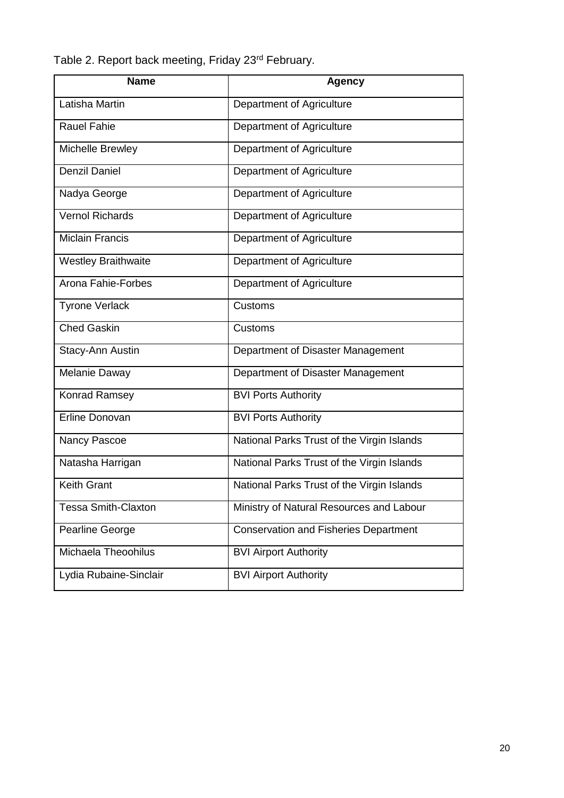Table 2. Report back meeting, Friday 23<sup>rd</sup> February.

| <b>Name</b>                | <b>Agency</b>                                |
|----------------------------|----------------------------------------------|
| Latisha Martin             | Department of Agriculture                    |
| <b>Rauel Fahie</b>         | Department of Agriculture                    |
| Michelle Brewley           | Department of Agriculture                    |
| <b>Denzil Daniel</b>       | Department of Agriculture                    |
| Nadya George               | Department of Agriculture                    |
| <b>Vernol Richards</b>     | Department of Agriculture                    |
| <b>Miclain Francis</b>     | Department of Agriculture                    |
| <b>Westley Braithwaite</b> | Department of Agriculture                    |
| Arona Fahie-Forbes         | Department of Agriculture                    |
| <b>Tyrone Verlack</b>      | Customs                                      |
| <b>Ched Gaskin</b>         | Customs                                      |
| Stacy-Ann Austin           | Department of Disaster Management            |
| Melanie Daway              | Department of Disaster Management            |
| Konrad Ramsey              | <b>BVI Ports Authority</b>                   |
| Erline Donovan             | <b>BVI Ports Authority</b>                   |
| Nancy Pascoe               | National Parks Trust of the Virgin Islands   |
| Natasha Harrigan           | National Parks Trust of the Virgin Islands   |
| <b>Keith Grant</b>         | National Parks Trust of the Virgin Islands   |
| <b>Tessa Smith-Claxton</b> | Ministry of Natural Resources and Labour     |
| Pearline George            | <b>Conservation and Fisheries Department</b> |
| Michaela Theoohilus        | <b>BVI Airport Authority</b>                 |
| Lydia Rubaine-Sinclair     | <b>BVI Airport Authority</b>                 |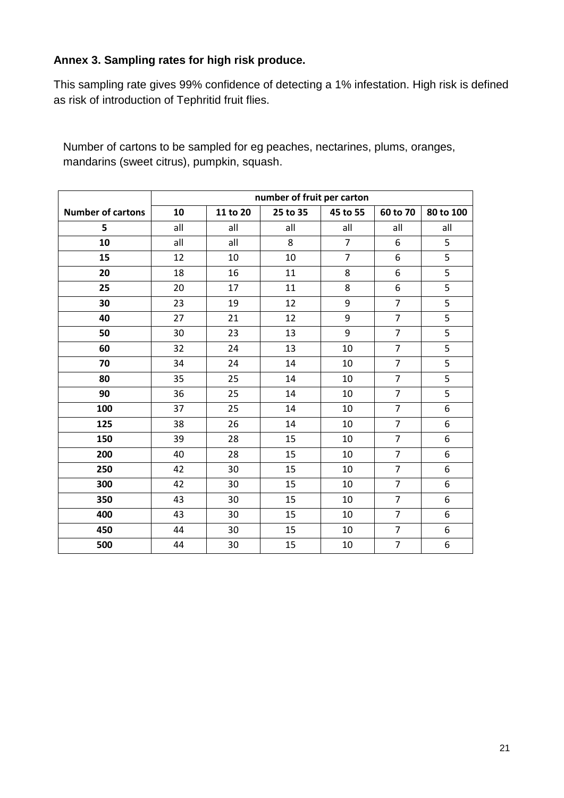## <span id="page-20-0"></span>**Annex 3. Sampling rates for high risk produce.**

This sampling rate gives 99% confidence of detecting a 1% infestation. High risk is defined as risk of introduction of Tephritid fruit flies.

Number of cartons to be sampled for eg peaches, nectarines, plums, oranges, mandarins (sweet citrus), pumpkin, squash.

|                          | number of fruit per carton |          |          |                |                |                  |  |
|--------------------------|----------------------------|----------|----------|----------------|----------------|------------------|--|
| <b>Number of cartons</b> | 10                         | 11 to 20 | 25 to 35 | 45 to 55       | 60 to 70       | 80 to 100        |  |
| 5                        | all                        | all      | all      | all            | all            | all              |  |
| 10                       | all                        | all      | 8        | $\overline{7}$ | 6              | 5                |  |
| 15                       | 12                         | 10       | 10       | $\overline{7}$ | 6              | 5                |  |
| 20                       | 18                         | 16       | 11       | 8              | 6              | 5                |  |
| 25                       | 20                         | 17       | 11       | 8              | 6              | $\overline{5}$   |  |
| 30                       | 23                         | 19       | 12       | 9              | $\overline{7}$ | 5                |  |
| 40                       | 27                         | 21       | 12       | 9              | $\overline{7}$ | 5                |  |
| 50                       | 30                         | 23       | 13       | 9              | $\overline{7}$ | $\overline{5}$   |  |
| 60                       | 32                         | 24       | 13       | 10             | $\overline{7}$ | 5                |  |
| 70                       | 34                         | 24       | 14       | 10             | $\overline{7}$ | $\overline{5}$   |  |
| 80                       | 35                         | 25       | 14       | 10             | $\overline{7}$ | $\overline{5}$   |  |
| 90                       | 36                         | 25       | 14       | 10             | $\overline{7}$ | $\overline{5}$   |  |
| 100                      | 37                         | 25       | 14       | 10             | $\overline{7}$ | $\boldsymbol{6}$ |  |
| 125                      | 38                         | 26       | 14       | 10             | $\overline{7}$ | 6                |  |
| 150                      | 39                         | 28       | 15       | 10             | $\overline{7}$ | $\boldsymbol{6}$ |  |
| 200                      | 40                         | 28       | 15       | 10             | $\overline{7}$ | 6                |  |
| 250                      | 42                         | 30       | 15       | 10             | $\overline{7}$ | 6                |  |
| 300                      | 42                         | 30       | 15       | 10             | $\overline{7}$ | 6                |  |
| 350                      | 43                         | 30       | 15       | 10             | $\overline{7}$ | $\boldsymbol{6}$ |  |
| 400                      | 43                         | 30       | 15       | 10             | $\overline{7}$ | 6                |  |
| 450                      | 44                         | 30       | 15       | 10             | $\overline{7}$ | $\boldsymbol{6}$ |  |
| 500                      | 44                         | 30       | 15       | $10\,$         | $\overline{7}$ | 6                |  |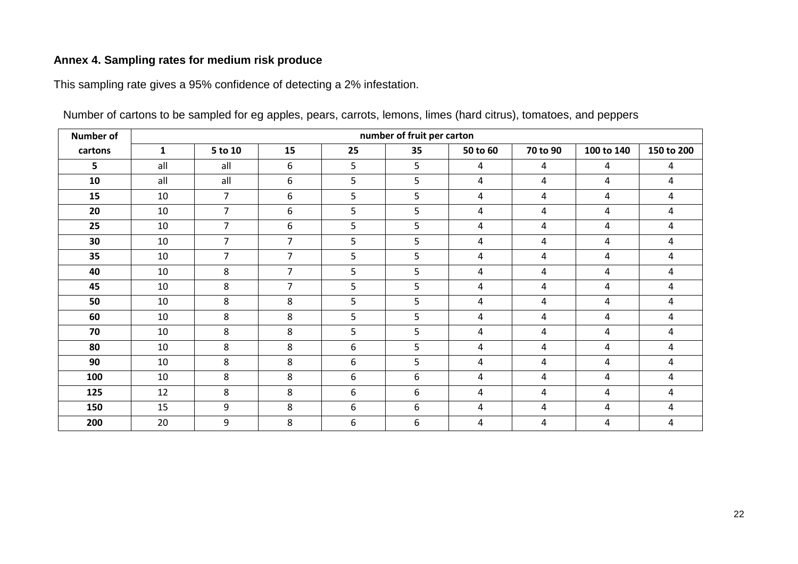# **Annex 4. Sampling rates for medium risk produce**

This sampling rate gives a 95% confidence of detecting a 2% infestation.

<span id="page-21-0"></span>

| <b>Number of</b> |              | number of fruit per carton |                |    |                |          |                |                |                |
|------------------|--------------|----------------------------|----------------|----|----------------|----------|----------------|----------------|----------------|
| cartons          | $\mathbf{1}$ | 5 to 10                    | 15             | 25 | 35             | 50 to 60 | 70 to 90       | 100 to 140     | 150 to 200     |
| 5                | all          | all                        | 6              | 5  | 5              | 4        | $\overline{a}$ | 4              | 4              |
| 10               | all          | all                        | 6              | 5  | 5              | 4        | $\overline{a}$ | $\overline{4}$ | $\overline{4}$ |
| 15               | 10           | 7                          | 6              | 5  | 5              | 4        | 4              | 4              | 4              |
| 20               | 10           | $\overline{7}$             | 6              | 5  | 5              | 4        | 4              | 4              | 4              |
| 25               | 10           | 7                          | 6              | 5  | 5              | 4        | $\overline{4}$ | 4              | 4              |
| 30               | 10           | $\overline{7}$             | $\overline{7}$ | 5  | 5              | 4        | 4              | $\overline{4}$ | 4              |
| 35               | 10           | $\overline{7}$             | $\overline{7}$ | 5  | 5              | 4        | 4              | $\overline{4}$ | 4              |
| 40               | 10           | 8                          | $\overline{7}$ | 5  | 5              | 4        | 4              | 4              | 4              |
| 45               | 10           | 8                          | $\overline{7}$ | 5  | 5              | 4        | 4              | 4              | 4              |
| 50               | 10           | 8                          | 8              | 5  | 5              | 4        | 4              | 4              | 4              |
| 60               | 10           | 8                          | 8              | 5  | 5 <sup>5</sup> | 4        | 4              | 4              | 4              |
| 70               | 10           | 8                          | 8              | 5  | 5              | 4        | $\overline{a}$ | $\overline{4}$ | 4              |
| 80               | 10           | 8                          | 8              | 6  | 5              | 4        | 4              | 4              | 4              |
| 90               | 10           | 8                          | 8              | 6  | 5 <sub>1</sub> | 4        | 4              | 4              | 4              |
| 100              | 10           | 8                          | 8              | 6  | 6              | 4        | 4              | 4              | 4              |
| 125              | 12           | 8                          | 8              | 6  | 6              | 4        | 4              | 4              | 4              |
| 150              | 15           | 9                          | 8              | 6  | 6              | 4        | $\overline{a}$ | $\overline{4}$ | $\overline{4}$ |
| 200              | 20           | 9                          | 8              | 6  | 6              | 4        | 4              | 4              | 4              |

Number of cartons to be sampled for eg apples, pears, carrots, lemons, limes (hard citrus), tomatoes, and peppers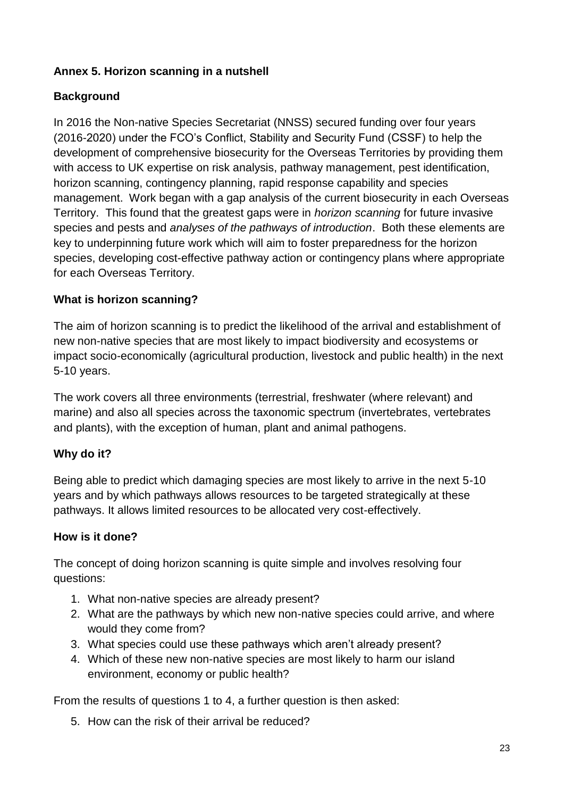## <span id="page-22-0"></span>**Annex 5. Horizon scanning in a nutshell**

## **Background**

In 2016 the Non-native Species Secretariat (NNSS) secured funding over four years (2016-2020) under the FCO's Conflict, Stability and Security Fund (CSSF) to help the development of comprehensive biosecurity for the Overseas Territories by providing them with access to UK expertise on risk analysis, pathway management, pest identification, horizon scanning, contingency planning, rapid response capability and species management. Work began with a gap analysis of the current biosecurity in each Overseas Territory. This found that the greatest gaps were in *horizon scanning* for future invasive species and pests and *analyses of the pathways of introduction*. Both these elements are key to underpinning future work which will aim to foster preparedness for the horizon species, developing cost-effective pathway action or contingency plans where appropriate for each Overseas Territory.

## **What is horizon scanning?**

The aim of horizon scanning is to predict the likelihood of the arrival and establishment of new non-native species that are most likely to impact biodiversity and ecosystems or impact socio-economically (agricultural production, livestock and public health) in the next 5-10 years.

The work covers all three environments (terrestrial, freshwater (where relevant) and marine) and also all species across the taxonomic spectrum (invertebrates, vertebrates and plants), with the exception of human, plant and animal pathogens.

# **Why do it?**

Being able to predict which damaging species are most likely to arrive in the next 5-10 years and by which pathways allows resources to be targeted strategically at these pathways. It allows limited resources to be allocated very cost-effectively.

#### **How is it done?**

The concept of doing horizon scanning is quite simple and involves resolving four questions:

- 1. What non-native species are already present?
- 2. What are the pathways by which new non-native species could arrive, and where would they come from?
- 3. What species could use these pathways which aren't already present?
- 4. Which of these new non-native species are most likely to harm our island environment, economy or public health?

From the results of questions 1 to 4, a further question is then asked:

5. How can the risk of their arrival be reduced?